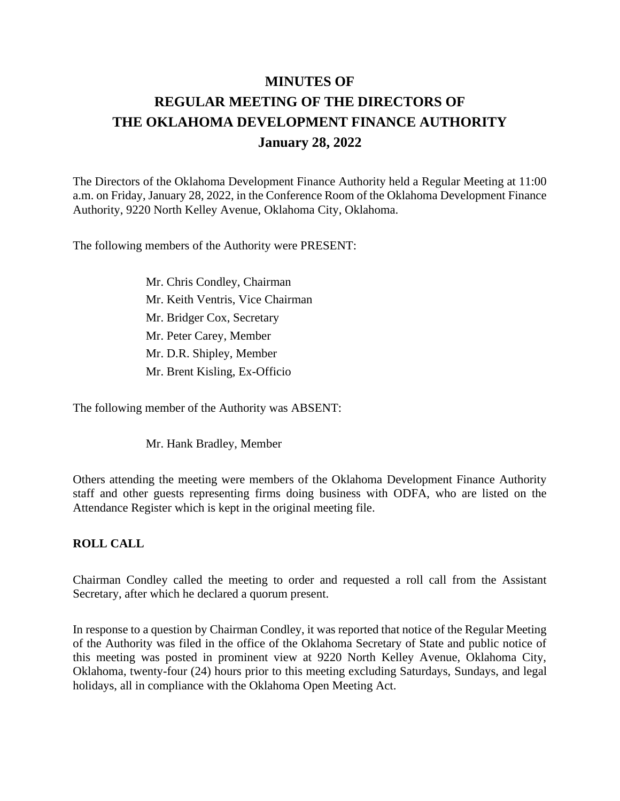# **MINUTES OF REGULAR MEETING OF THE DIRECTORS OF THE OKLAHOMA DEVELOPMENT FINANCE AUTHORITY January 28, 2022**

The Directors of the Oklahoma Development Finance Authority held a Regular Meeting at 11:00 a.m. on Friday, January 28, 2022, in the Conference Room of the Oklahoma Development Finance Authority, 9220 North Kelley Avenue, Oklahoma City, Oklahoma.

The following members of the Authority were PRESENT:

Mr. Chris Condley, Chairman Mr. Keith Ventris, Vice Chairman Mr. Bridger Cox, Secretary Mr. Peter Carey, Member Mr. D.R. Shipley, Member Mr. Brent Kisling, Ex-Officio

The following member of the Authority was ABSENT:

Mr. Hank Bradley, Member

Others attending the meeting were members of the Oklahoma Development Finance Authority staff and other guests representing firms doing business with ODFA, who are listed on the Attendance Register which is kept in the original meeting file.

#### **ROLL CALL**

Chairman Condley called the meeting to order and requested a roll call from the Assistant Secretary, after which he declared a quorum present.

In response to a question by Chairman Condley, it was reported that notice of the Regular Meeting of the Authority was filed in the office of the Oklahoma Secretary of State and public notice of this meeting was posted in prominent view at 9220 North Kelley Avenue, Oklahoma City, Oklahoma, twenty-four (24) hours prior to this meeting excluding Saturdays, Sundays, and legal holidays, all in compliance with the Oklahoma Open Meeting Act.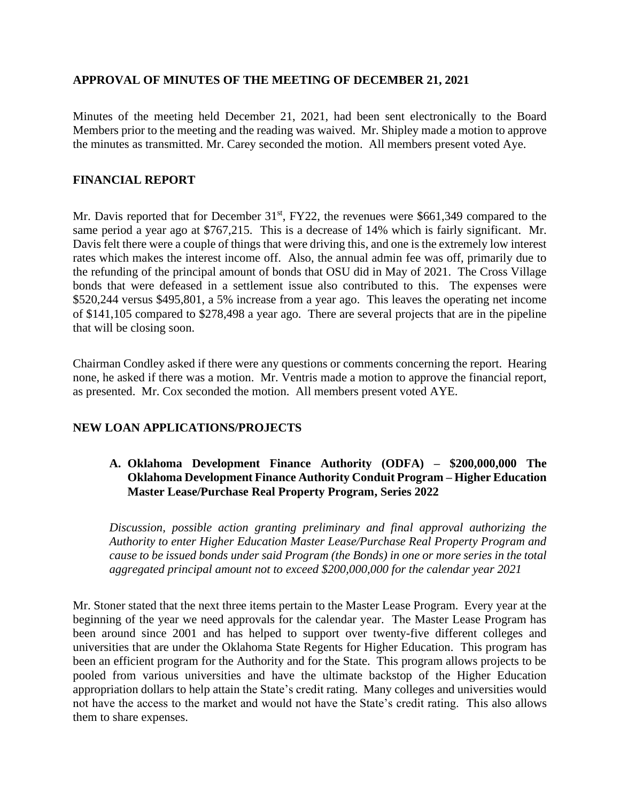## **APPROVAL OF MINUTES OF THE MEETING OF DECEMBER 21, 2021**

Minutes of the meeting held December 21, 2021, had been sent electronically to the Board Members prior to the meeting and the reading was waived. Mr. Shipley made a motion to approve the minutes as transmitted. Mr. Carey seconded the motion. All members present voted Aye.

## **FINANCIAL REPORT**

Mr. Davis reported that for December 31<sup>st</sup>, FY22, the revenues were \$661,349 compared to the same period a year ago at \$767,215. This is a decrease of 14% which is fairly significant. Mr. Davis felt there were a couple of things that were driving this, and one is the extremely low interest rates which makes the interest income off. Also, the annual admin fee was off, primarily due to the refunding of the principal amount of bonds that OSU did in May of 2021. The Cross Village bonds that were defeased in a settlement issue also contributed to this. The expenses were \$520,244 versus \$495,801, a 5% increase from a year ago. This leaves the operating net income of \$141,105 compared to \$278,498 a year ago. There are several projects that are in the pipeline that will be closing soon.

Chairman Condley asked if there were any questions or comments concerning the report. Hearing none, he asked if there was a motion. Mr. Ventris made a motion to approve the financial report, as presented. Mr. Cox seconded the motion. All members present voted AYE.

# **NEW LOAN APPLICATIONS/PROJECTS**

## **A. Oklahoma Development Finance Authority (ODFA) – \$200,000,000 The Oklahoma Development Finance Authority Conduit Program – Higher Education Master Lease/Purchase Real Property Program, Series 2022**

*Discussion, possible action granting preliminary and final approval authorizing the Authority to enter Higher Education Master Lease/Purchase Real Property Program and cause to be issued bonds under said Program (the Bonds) in one or more series in the total aggregated principal amount not to exceed \$200,000,000 for the calendar year 2021* 

Mr. Stoner stated that the next three items pertain to the Master Lease Program. Every year at the beginning of the year we need approvals for the calendar year. The Master Lease Program has been around since 2001 and has helped to support over twenty-five different colleges and universities that are under the Oklahoma State Regents for Higher Education. This program has been an efficient program for the Authority and for the State. This program allows projects to be pooled from various universities and have the ultimate backstop of the Higher Education appropriation dollars to help attain the State's credit rating. Many colleges and universities would not have the access to the market and would not have the State's credit rating. This also allows them to share expenses.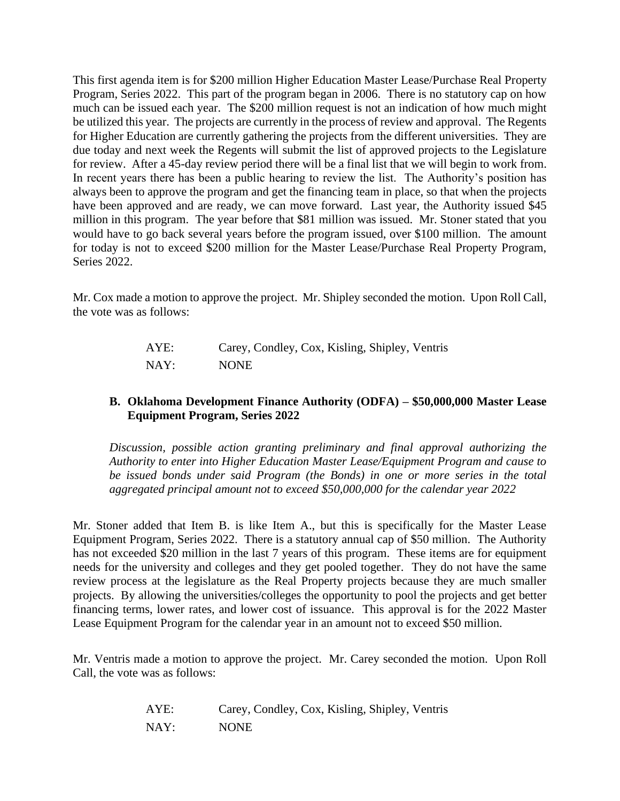This first agenda item is for \$200 million Higher Education Master Lease/Purchase Real Property Program, Series 2022. This part of the program began in 2006. There is no statutory cap on how much can be issued each year. The \$200 million request is not an indication of how much might be utilized this year. The projects are currently in the process of review and approval. The Regents for Higher Education are currently gathering the projects from the different universities. They are due today and next week the Regents will submit the list of approved projects to the Legislature for review. After a 45-day review period there will be a final list that we will begin to work from. In recent years there has been a public hearing to review the list. The Authority's position has always been to approve the program and get the financing team in place, so that when the projects have been approved and are ready, we can move forward. Last year, the Authority issued \$45 million in this program. The year before that \$81 million was issued. Mr. Stoner stated that you would have to go back several years before the program issued, over \$100 million. The amount for today is not to exceed \$200 million for the Master Lease/Purchase Real Property Program, Series 2022.

Mr. Cox made a motion to approve the project. Mr. Shipley seconded the motion. Upon Roll Call, the vote was as follows:

| AYE: | Carey, Condley, Cox, Kisling, Shipley, Ventris |
|------|------------------------------------------------|
| NAY: | <b>NONE</b>                                    |

## **B. Oklahoma Development Finance Authority (ODFA) – \$50,000,000 Master Lease Equipment Program, Series 2022**

*Discussion, possible action granting preliminary and final approval authorizing the Authority to enter into Higher Education Master Lease/Equipment Program and cause to be issued bonds under said Program (the Bonds) in one or more series in the total aggregated principal amount not to exceed \$50,000,000 for the calendar year 2022*

Mr. Stoner added that Item B. is like Item A., but this is specifically for the Master Lease Equipment Program, Series 2022. There is a statutory annual cap of \$50 million. The Authority has not exceeded \$20 million in the last 7 years of this program. These items are for equipment needs for the university and colleges and they get pooled together. They do not have the same review process at the legislature as the Real Property projects because they are much smaller projects. By allowing the universities/colleges the opportunity to pool the projects and get better financing terms, lower rates, and lower cost of issuance. This approval is for the 2022 Master Lease Equipment Program for the calendar year in an amount not to exceed \$50 million.

Mr. Ventris made a motion to approve the project. Mr. Carey seconded the motion. Upon Roll Call, the vote was as follows:

| AYE: | Carey, Condley, Cox, Kisling, Shipley, Ventris |
|------|------------------------------------------------|
| NAY: | <b>NONE</b>                                    |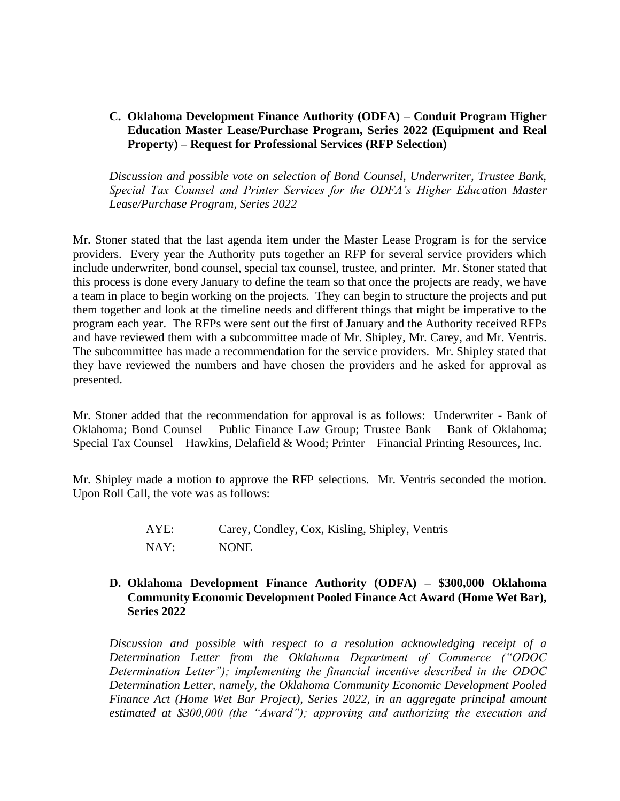**C. Oklahoma Development Finance Authority (ODFA) – Conduit Program Higher Education Master Lease/Purchase Program, Series 2022 (Equipment and Real Property) – Request for Professional Services (RFP Selection)**

*Discussion and possible vote on selection of Bond Counsel, Underwriter, Trustee Bank, Special Tax Counsel and Printer Services for the ODFA's Higher Education Master Lease/Purchase Program, Series 2022* 

Mr. Stoner stated that the last agenda item under the Master Lease Program is for the service providers. Every year the Authority puts together an RFP for several service providers which include underwriter, bond counsel, special tax counsel, trustee, and printer. Mr. Stoner stated that this process is done every January to define the team so that once the projects are ready, we have a team in place to begin working on the projects. They can begin to structure the projects and put them together and look at the timeline needs and different things that might be imperative to the program each year. The RFPs were sent out the first of January and the Authority received RFPs and have reviewed them with a subcommittee made of Mr. Shipley, Mr. Carey, and Mr. Ventris. The subcommittee has made a recommendation for the service providers. Mr. Shipley stated that they have reviewed the numbers and have chosen the providers and he asked for approval as presented.

Mr. Stoner added that the recommendation for approval is as follows: Underwriter - Bank of Oklahoma; Bond Counsel – Public Finance Law Group; Trustee Bank – Bank of Oklahoma; Special Tax Counsel – Hawkins, Delafield & Wood; Printer – Financial Printing Resources, Inc.

Mr. Shipley made a motion to approve the RFP selections. Mr. Ventris seconded the motion. Upon Roll Call, the vote was as follows:

> AYE: Carey, Condley, Cox, Kisling, Shipley, Ventris NAY: NONE

#### **D. Oklahoma Development Finance Authority (ODFA) – \$300,000 Oklahoma Community Economic Development Pooled Finance Act Award (Home Wet Bar), Series 2022**

*Discussion and possible with respect to a resolution acknowledging receipt of a Determination Letter from the Oklahoma Department of Commerce ("ODOC Determination Letter"); implementing the financial incentive described in the ODOC Determination Letter, namely, the Oklahoma Community Economic Development Pooled Finance Act (Home Wet Bar Project), Series 2022, in an aggregate principal amount estimated at \$300,000 (the "Award"); approving and authorizing the execution and*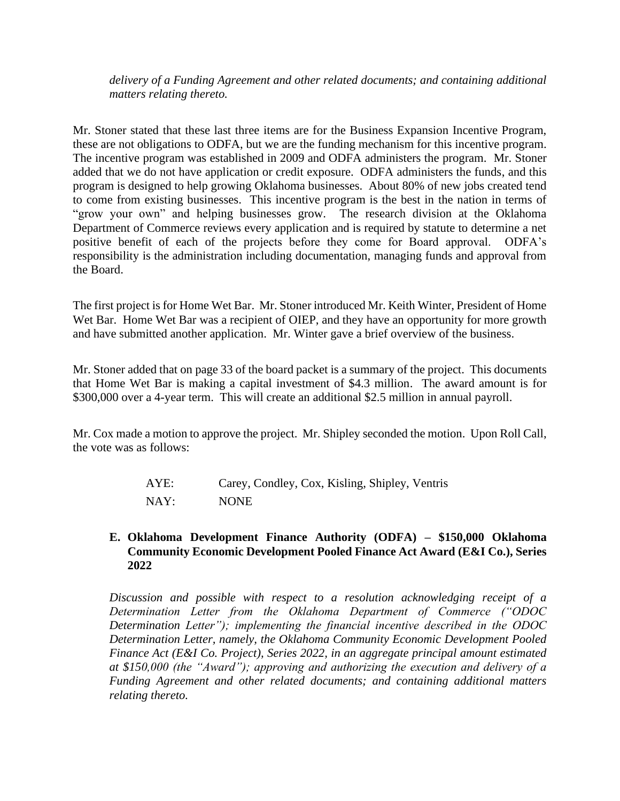*delivery of a Funding Agreement and other related documents; and containing additional matters relating thereto.*

Mr. Stoner stated that these last three items are for the Business Expansion Incentive Program, these are not obligations to ODFA, but we are the funding mechanism for this incentive program. The incentive program was established in 2009 and ODFA administers the program. Mr. Stoner added that we do not have application or credit exposure. ODFA administers the funds, and this program is designed to help growing Oklahoma businesses. About 80% of new jobs created tend to come from existing businesses. This incentive program is the best in the nation in terms of "grow your own" and helping businesses grow. The research division at the Oklahoma Department of Commerce reviews every application and is required by statute to determine a net positive benefit of each of the projects before they come for Board approval. ODFA's responsibility is the administration including documentation, managing funds and approval from the Board.

The first project is for Home Wet Bar. Mr. Stoner introduced Mr. Keith Winter, President of Home Wet Bar. Home Wet Bar was a recipient of OIEP, and they have an opportunity for more growth and have submitted another application. Mr. Winter gave a brief overview of the business.

Mr. Stoner added that on page 33 of the board packet is a summary of the project. This documents that Home Wet Bar is making a capital investment of \$4.3 million. The award amount is for \$300,000 over a 4-year term. This will create an additional \$2.5 million in annual payroll.

Mr. Cox made a motion to approve the project. Mr. Shipley seconded the motion. Upon Roll Call, the vote was as follows:

| AYE: | Carey, Condley, Cox, Kisling, Shipley, Ventris |
|------|------------------------------------------------|
| NAY: | <b>NONE</b>                                    |

# **E. Oklahoma Development Finance Authority (ODFA) – \$150,000 Oklahoma Community Economic Development Pooled Finance Act Award (E&I Co.), Series 2022**

*Discussion and possible with respect to a resolution acknowledging receipt of a Determination Letter from the Oklahoma Department of Commerce ("ODOC Determination Letter"); implementing the financial incentive described in the ODOC Determination Letter, namely, the Oklahoma Community Economic Development Pooled Finance Act (E&I Co. Project), Series 2022, in an aggregate principal amount estimated at \$150,000 (the "Award"); approving and authorizing the execution and delivery of a Funding Agreement and other related documents; and containing additional matters relating thereto.*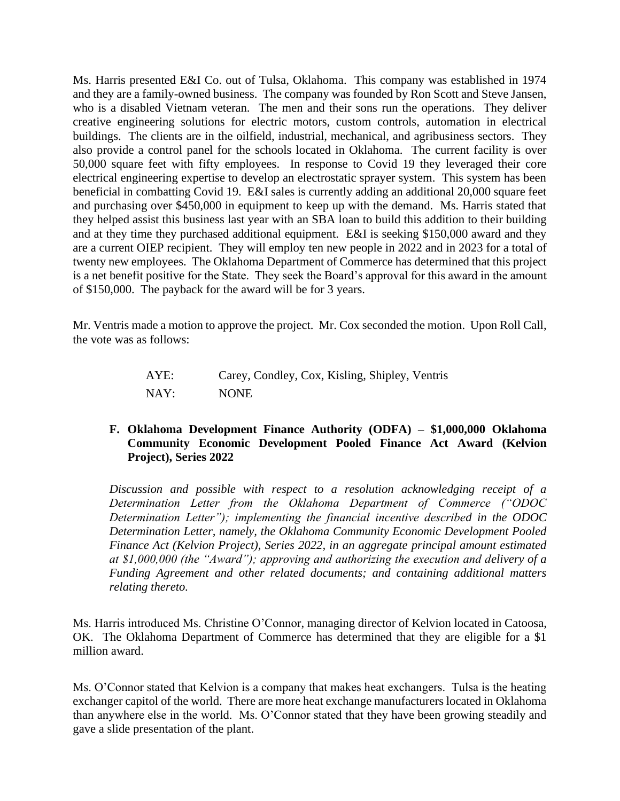Ms. Harris presented E&I Co. out of Tulsa, Oklahoma. This company was established in 1974 and they are a family-owned business. The company was founded by Ron Scott and Steve Jansen, who is a disabled Vietnam veteran. The men and their sons run the operations. They deliver creative engineering solutions for electric motors, custom controls, automation in electrical buildings. The clients are in the oilfield, industrial, mechanical, and agribusiness sectors. They also provide a control panel for the schools located in Oklahoma. The current facility is over 50,000 square feet with fifty employees. In response to Covid 19 they leveraged their core electrical engineering expertise to develop an electrostatic sprayer system. This system has been beneficial in combatting Covid 19. E&I sales is currently adding an additional 20,000 square feet and purchasing over \$450,000 in equipment to keep up with the demand. Ms. Harris stated that they helped assist this business last year with an SBA loan to build this addition to their building and at they time they purchased additional equipment. E&I is seeking \$150,000 award and they are a current OIEP recipient. They will employ ten new people in 2022 and in 2023 for a total of twenty new employees. The Oklahoma Department of Commerce has determined that this project is a net benefit positive for the State. They seek the Board's approval for this award in the amount of \$150,000. The payback for the award will be for 3 years.

Mr. Ventris made a motion to approve the project. Mr. Cox seconded the motion. Upon Roll Call, the vote was as follows:

| AYE: | Carey, Condley, Cox, Kisling, Shipley, Ventris |
|------|------------------------------------------------|
| NAY: | <b>NONE</b>                                    |

## **F. Oklahoma Development Finance Authority (ODFA) – \$1,000,000 Oklahoma Community Economic Development Pooled Finance Act Award (Kelvion Project), Series 2022**

*Discussion and possible with respect to a resolution acknowledging receipt of a Determination Letter from the Oklahoma Department of Commerce ("ODOC Determination Letter"); implementing the financial incentive described in the ODOC Determination Letter, namely, the Oklahoma Community Economic Development Pooled Finance Act (Kelvion Project), Series 2022, in an aggregate principal amount estimated at \$1,000,000 (the "Award"); approving and authorizing the execution and delivery of a Funding Agreement and other related documents; and containing additional matters relating thereto.*

Ms. Harris introduced Ms. Christine O'Connor, managing director of Kelvion located in Catoosa, OK. The Oklahoma Department of Commerce has determined that they are eligible for a \$1 million award.

Ms. O'Connor stated that Kelvion is a company that makes heat exchangers. Tulsa is the heating exchanger capitol of the world. There are more heat exchange manufacturers located in Oklahoma than anywhere else in the world. Ms. O'Connor stated that they have been growing steadily and gave a slide presentation of the plant.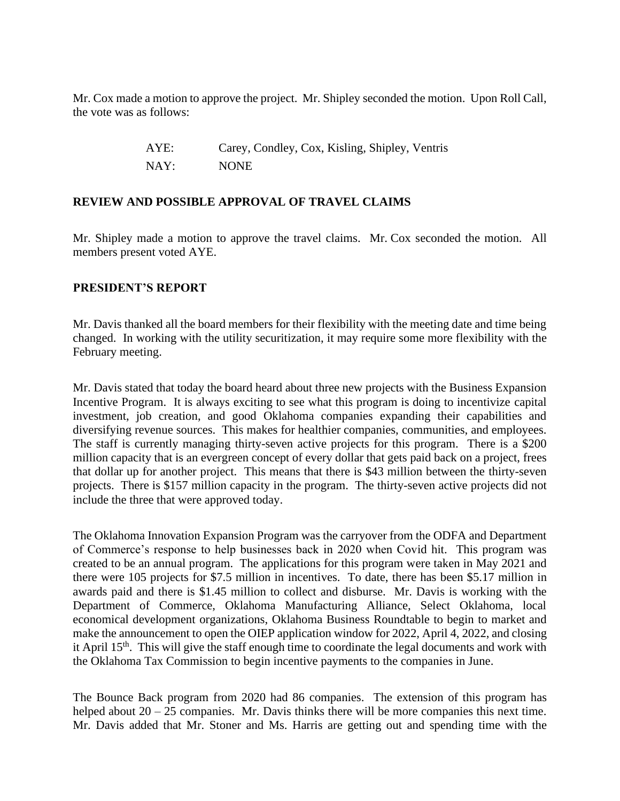Mr. Cox made a motion to approve the project. Mr. Shipley seconded the motion. Upon Roll Call, the vote was as follows:

> AYE: Carey, Condley, Cox, Kisling, Shipley, Ventris NAY: NONE

## **REVIEW AND POSSIBLE APPROVAL OF TRAVEL CLAIMS**

Mr. Shipley made a motion to approve the travel claims. Mr. Cox seconded the motion. All members present voted AYE.

#### **PRESIDENT'S REPORT**

Mr. Davis thanked all the board members for their flexibility with the meeting date and time being changed. In working with the utility securitization, it may require some more flexibility with the February meeting.

Mr. Davis stated that today the board heard about three new projects with the Business Expansion Incentive Program. It is always exciting to see what this program is doing to incentivize capital investment, job creation, and good Oklahoma companies expanding their capabilities and diversifying revenue sources. This makes for healthier companies, communities, and employees. The staff is currently managing thirty-seven active projects for this program. There is a \$200 million capacity that is an evergreen concept of every dollar that gets paid back on a project, frees that dollar up for another project. This means that there is \$43 million between the thirty-seven projects. There is \$157 million capacity in the program. The thirty-seven active projects did not include the three that were approved today.

The Oklahoma Innovation Expansion Program was the carryover from the ODFA and Department of Commerce's response to help businesses back in 2020 when Covid hit. This program was created to be an annual program. The applications for this program were taken in May 2021 and there were 105 projects for \$7.5 million in incentives. To date, there has been \$5.17 million in awards paid and there is \$1.45 million to collect and disburse. Mr. Davis is working with the Department of Commerce, Oklahoma Manufacturing Alliance, Select Oklahoma, local economical development organizations, Oklahoma Business Roundtable to begin to market and make the announcement to open the OIEP application window for 2022, April 4, 2022, and closing it April 15<sup>th</sup>. This will give the staff enough time to coordinate the legal documents and work with the Oklahoma Tax Commission to begin incentive payments to the companies in June.

The Bounce Back program from 2020 had 86 companies. The extension of this program has helped about  $20 - 25$  companies. Mr. Davis thinks there will be more companies this next time. Mr. Davis added that Mr. Stoner and Ms. Harris are getting out and spending time with the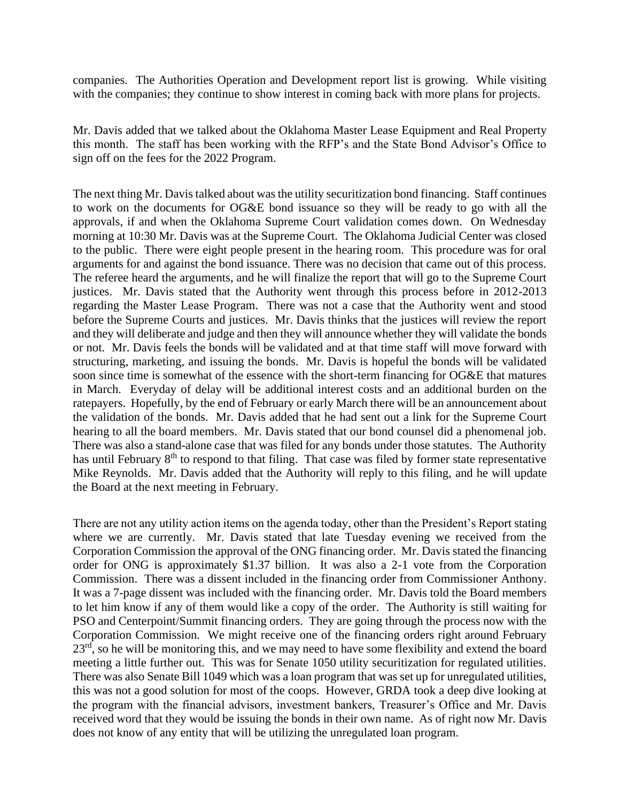companies. The Authorities Operation and Development report list is growing. While visiting with the companies; they continue to show interest in coming back with more plans for projects.

Mr. Davis added that we talked about the Oklahoma Master Lease Equipment and Real Property this month. The staff has been working with the RFP's and the State Bond Advisor's Office to sign off on the fees for the 2022 Program.

The next thing Mr. Davis talked about was the utility securitization bond financing. Staff continues to work on the documents for OG&E bond issuance so they will be ready to go with all the approvals, if and when the Oklahoma Supreme Court validation comes down. On Wednesday morning at 10:30 Mr. Davis was at the Supreme Court. The Oklahoma Judicial Center was closed to the public. There were eight people present in the hearing room. This procedure was for oral arguments for and against the bond issuance. There was no decision that came out of this process. The referee heard the arguments, and he will finalize the report that will go to the Supreme Court justices. Mr. Davis stated that the Authority went through this process before in 2012-2013 regarding the Master Lease Program. There was not a case that the Authority went and stood before the Supreme Courts and justices. Mr. Davis thinks that the justices will review the report and they will deliberate and judge and then they will announce whether they will validate the bonds or not. Mr. Davis feels the bonds will be validated and at that time staff will move forward with structuring, marketing, and issuing the bonds. Mr. Davis is hopeful the bonds will be validated soon since time is somewhat of the essence with the short-term financing for OG&E that matures in March. Everyday of delay will be additional interest costs and an additional burden on the ratepayers. Hopefully, by the end of February or early March there will be an announcement about the validation of the bonds. Mr. Davis added that he had sent out a link for the Supreme Court hearing to all the board members. Mr. Davis stated that our bond counsel did a phenomenal job. There was also a stand-alone case that was filed for any bonds under those statutes. The Authority has until February 8<sup>th</sup> to respond to that filing. That case was filed by former state representative Mike Reynolds. Mr. Davis added that the Authority will reply to this filing, and he will update the Board at the next meeting in February.

There are not any utility action items on the agenda today, other than the President's Report stating where we are currently. Mr. Davis stated that late Tuesday evening we received from the Corporation Commission the approval of the ONG financing order. Mr. Davis stated the financing order for ONG is approximately \$1.37 billion. It was also a 2-1 vote from the Corporation Commission. There was a dissent included in the financing order from Commissioner Anthony. It was a 7-page dissent was included with the financing order. Mr. Davis told the Board members to let him know if any of them would like a copy of the order. The Authority is still waiting for PSO and Centerpoint/Summit financing orders. They are going through the process now with the Corporation Commission. We might receive one of the financing orders right around February 23<sup>rd</sup>, so he will be monitoring this, and we may need to have some flexibility and extend the board meeting a little further out. This was for Senate 1050 utility securitization for regulated utilities. There was also Senate Bill 1049 which was a loan program that was set up for unregulated utilities, this was not a good solution for most of the coops. However, GRDA took a deep dive looking at the program with the financial advisors, investment bankers, Treasurer's Office and Mr. Davis received word that they would be issuing the bonds in their own name. As of right now Mr. Davis does not know of any entity that will be utilizing the unregulated loan program.